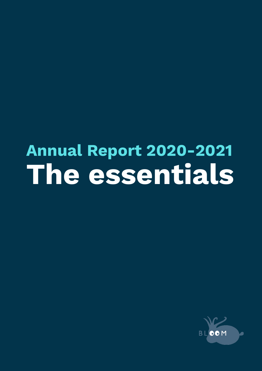# **Annual Report 2020-2021 The essentials**

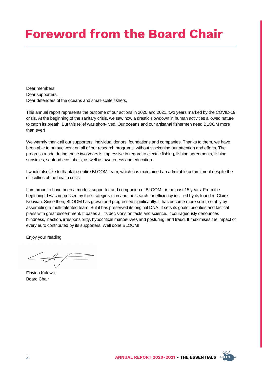# **Foreword from the Board Chair**

Dear members, Dear supporters, Dear defenders of the oceans and small-scale fishers,

This annual report represents the outcome of our actions in 2020 and 2021, two years marked by the COVID-19 crisis. At the beginning of the sanitary crisis, we saw how a drastic slowdown in human activities allowed nature to catch its breath. But this relief was short-lived. Our oceans and our artisanal fishermen need BLOOM more than ever!

We warmly thank all our supporters, individual donors, foundations and companies. Thanks to them, we have been able to pursue work on all of our research programs, without slackening our attention and efforts. The progress made during these two years is impressive in regard to electric fishing, fishing agreements, fishing subsidies, seafood eco-labels, as well as awareness and education.

I would also like to thank the entire BLOOM team, which has maintained an admirable commitment despite the difficulties of the health crisis.

I am proud to have been a modest supporter and companion of BLOOM for the past 15 years. From the beginning, I was impressed by the strategic vision and the search for efficiency instilled by its founder, Claire Nouvian. Since then, BLOOM has grown and progressed significantly. It has become more solid, notably by assembling a multi-talented team. But it has preserved its original DNA. It sets its goals, priorities and tactical plans with great discernment. It bases all its decisions on facts and science. It courageously denounces blindness, inaction, irresponsibility, hypocritical manoeuvres and posturing, and fraud. It maximises the impact of every euro contributed by its supporters. Well done BLOOM!

Enjoy your reading.

Flavien Kulawik Board Chair

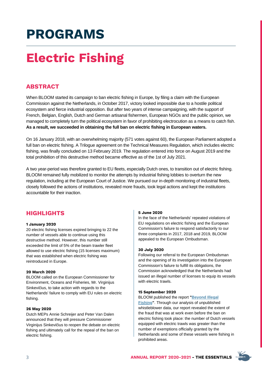# **Electric Fishing**

### **ABSTRACT**

When BLOOM started its campaign to ban electric fishing in Europe, by filing a claim with the European Commission against the Netherlands, in October 2017, victory looked impossible due to a hostile political ecosystem and fierce industrial opposition. But after two years of intense campaigning, with the support of French, Belgian, English, Dutch and German artisanal fishermen, European NGOs and the public opinion, we managed to completely turn the political ecosystem in favor of prohibiting electrocution as a means to catch fish. **As a result, we succeeded in obtaining the full ban on electric fishing in European waters.**

On 16 January 2018, with an overwhelming majority (571 votes against 60), the European Parliament adopted a full ban on electric fishing. A Trilogue agreement on the Technical Measures [Regulation,](https://www.bloomassociation.org/en/victory-electric-fishing/) which includes electric fishing, was finally concluded on 13 February 2019. The regulation entered into force on August 2019 and the total prohibition of this destructive method became effective as of the 1st of July 2021.

A two year-period was therefore granted to EU fleets, especially Dutch ones, to transition out of electric fishing. BLOOM remained fully mobilized to monitor the attempts by industrial fishing lobbies to overturn the new regulation, including at the European Court of Justice. We pursued our in-depth monitoring of industrial fleets, closely followed the actions of institutions, revealed more frauds, took legal actions and kept the institutions accountable for their inaction.

### **HIGHLIGHTS**

#### **1 January 2020**

20 electric fishing licenses expired bringing to 22 the number of vessels able to continue using this destructive method. However, this number still exceeded the limit of 5% of the beam trawler fleet allowed to use electric fishing (15 licenses maximum) that was established when electric fishing was reintroduced in Europe.

#### **20 March 2020**

BLOOM called on the European Commissioner for Environment, Oceans and Fisheries, Mr. Virginijus Sinkevičius, to take action with regards to the Netherlands' failure to comply with EU rules on electric fishing.

#### **26 May 2020**

Dutch MEPs Annie Schreijer and Peter Van Dalen announced that they will pressure Commissioner Virginijus Sinkevičius to reopen the debate on electric fishing and ultimately call for the repeal of the ban on electric fishing.

#### **5 June 2020**

In the face of the Netherlands' repeated violations of EU regulations on electric fishing and the European Commission's failure to respond satisfactorily to our three complaints in 2017, 2018 and 2019, BLOOM appealed to the European Ombudsman.

#### **30 July 2020**

Following our referral to the European Ombudsman and the opening of its investigation into the European Commission's failure to fulfill its obligations, the Commission acknowledged that the Netherlands had issued an illegal number of licenses to equip its vessels with electric trawls.

#### **15 September 2020**

BLOOM published the report **"Beyond Illegal Fishing"**[. Through our analysis of unpublished](http://www.bloomassociation.org/en/wp-content/uploads/2020/09/beyond-illegal.pdf) whistleblower data, our report revealed the extent of the fraud that was at work even before the ban on electric fishing took place: the number of Dutch vessels equipped with electric trawls was greater than the number of exemptions officially granted by the Netherlands and some of these vessels were fishing in prohibited areas.

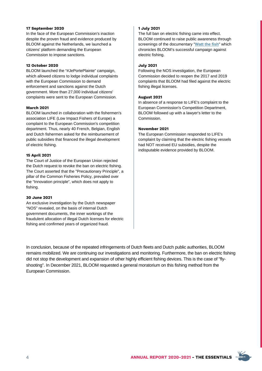#### **17 September 2020**

In the face of the European Commission's inaction despite the proven fraud and evidence produced by BLOOM against the Netherlands, we launched a citizens' platform demanding the European Commission to impose sanctions.

#### **12 October 2020**

BLOOM launched the "#JePortePlainte" campaign, which allowed citizens to lodge individual complaints with the European Commission to demand enforcement and sanctions against the Dutch government. More than 27,000 individual citizens' complaints were sent to the European Commission.

#### **March 2021**

BLOOM launched in collaboration with the fishermen's association LIFE (Low Impact Fishers of Europe) a complaint to the European Commission's competition department. Thus, nearly 40 French, Belgian, English and Dutch fishermen asked for the reimbursement of public subsidies that financed the illegal development of electric fishing.

#### **15 April 2021**

The Court of Justice of the European Union rejected the Dutch request to revoke the ban on electric fishing. The Court asserted that the "Precautionary Principle", a pillar of the Common Fisheries Policy, prevailed over the "Innovation principle", which does not apply to fishing.

#### **30 June 2021**

An exclusive investigation by the Dutch newspaper "NOS" revealed, on the basis of internal Dutch government documents, the inner workings of the fraudulent allocation of illegal Dutch licenses for electric fishing and confirmed years of organized fraud.

#### **1 July 2021**

The full ban on electric fishing came into effect. BLOOM continued to raise public awareness through screenings of the documentary "**[Watt the fish](https://vimeo.com/356403259)**" which chronicles BLOOM's successful campaign against electric fishing.

#### **July 2021**

Following the NOS investigation, the European Commission decided to reopen the 2017 and 2019 complaints that BLOOM had filed against the electric fishing illegal licenses.

#### **August 2021**

In absence of a response to LIFE's complaint to the European Commission's Competition Department, BLOOM followed up with a lawyer's letter to the Commission.

#### **November 2021**

The European Commission responded to LIFE's complaint by claiming that the electric fishing vessels had NOT received EU subsidies, despite the indisputable evidence provided by BLOOM.

In conclusion, because of the repeated infringements of Dutch fleets and Dutch public authorities, BLOOM remains mobilized. We are continuing our investigations and monitoring. Furthermore, the ban on electric fishing did not stop the development and expansion of other highly efficient fishing devices. This is the case of "flyshooting". In December 2021, BLOOM requested a general moratorium on this fishing method from the European Commission.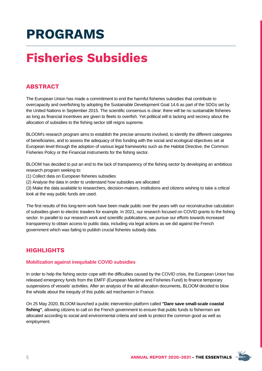# **Fisheries Subsidies**

### **ABSTRACT**

The European Union has made a commitment to end the harmful fisheries subsidies that contribute to overcapacity and overfishing by adopting the Sustainable Development Goal 14.6 as part of the SDGs set by the United Nations in September 2015. The scientific consensus is clear: there will be no sustainable fisheries as long as financial incentives are given to fleets to overfish. Yet political will is lacking and secrecy about the allocation of subsidies to the fishing sector still reigns supreme.

BLOOM's research program aims to establish the precise amounts involved, to identify the different categories of beneficiaries, and to assess the adequacy of this funding with the social and ecological objectives set at European level through the adoption of various legal frameworks such as the Habitat Directive, the Common Fisheries Policy or the Financial instruments for the fishing sector.

BLOOM has decided to put an end to the lack of transparency of the fishing sector by developing an ambitious research program seeking to:

- (1) Collect data on European fisheries subsidies
- (2) Analyse the data in order to understand how subsidies are allocated

(3) Make the data available to researchers, decision-makers, institutions and citizens wishing to take a critical look at the way public funds are used.

The first results of this long-term work have been made public over the years with our reconstructive calculation of subsidies given to electric trawlers for example. In 2021, our research focused on COVID grants to the fishing sector. In parallel to our research work and scientific publications, we pursue our efforts towards increased transparency to obtain access to public data, including via legal actions as we did against the French government which was failing to publish crucial fisheries subsidy data.

### **HIGHLIGHTS**

#### **Mobilization against inequitable COVID subsidies**

In order to help the fishing sector cope with the difficulties caused by the COVID crisis, the European Union has released emergency funds from the EMFF (European Maritime and Fisheries Fund) to finance temporary suspensions of vessels' activities. After an analysis of the aid allocation documents, BLOOM decided to blow the whistle about the inequity of this public aid mechanism in France.

On 25 May 2020, BLOOM launched a public intervention platform called **"Dare save small-scale coastal fishing"**, allowing citizens to call on the French government to ensure that public funds to fishermen are allocated according to social and environmental criteria and seek to protect the common good as well as employment.

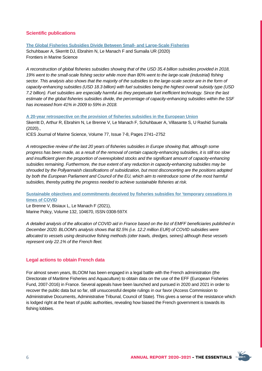#### **Scientific publications**

#### **The Global Fisheries Subsidies Divide Between Small- and [Large-Scale](https://www.frontiersin.org/articles/10.3389/fmars.2020.539214/full) Fisheries**

Schuhbauer A, Skerritt DJ, Ebrahim N, Le Manach F and Sumaila UR (2020) Frontiers in Marine Science

A reconstruction of global fisheries subsidies showing that of the USD 35.4 billion subsidies provided in 2018, 19% went to the small-scale fishing sector while more than 80% went to the large-scale (industrial) fishing sector. This analysis also shows that the majority of the subsidies to the large-scale sector are in the form of *capacity-enhancing subsidies (USD 18.3 billion) with fuel subsidies being the highest overall subsidy type (USD* 7.2 billion). Fuel subsidies are especially harmful as they perpetuate fuel inefficient technology. Since the last *estimate of the global fisheries subsidies divide, the percentage of capacity-enhancing subsidies within the SSF has increased from 41% in 2009 to 59% in 2018.*

**A 20-year [retrospective](https://academic.oup.com/icesjms/article/77/7-8/2741/5902157) on the provision of fisheries subsidies in the European Union** Skerritt D, Arthur R, Ebrahim N, Le Brenne V, Le Manach F, Schuhbauer A, Villasante S, U Rashid Sumaila (2020).,

ICES Journal of Marine Science, Volume 77, Issue 7-8, Pages 2741–2752

*A retrospective review of the last 20 years of fisheries subsidies in Europe showing that, although some* progress has been made, as a result of the removal of certain capacity-enhancing subsidies, it is still too slow *and insufficient given the proportion of overexploited stocks and the significant amount of capacity-enhancing subsidies remaining. Furthermore, the true extent of any reduction in capacity-enhancing subsidies may be shrouded by the Pollyannaish classifications of subsidization, but most disconcerting are the positions adopted* by both the European Parliament and Council of the EU, which aim to reintroduce some of the most harmful *subsidies, thereby putting the progress needed to achieve sustainable fisheries at risk.*

**Sustainable objectives and [commitments](https://www.sciencedirect.com/science/article/pii/S0308597X21002815) deceived by fisheries subsidies for 'temporary cessations in times of COVID**

Le Brenne V, Bisiaux L, Le Manach F (2021), Marine Policy, Volume 132, 104670, ISSN 0308-597X

A detailed analysis of the allocation of COVID aid in France based on the list of EMFF beneficiaries published in *December 2020. BLOOM's analysis shows that 82.5% (i.e. 12.2 million EUR) of COVID subsidies were allocated to vessels using destructive fishing methods (otter trawls, dredges, seines) although these vessels represent only 22.1% of the French fleet.*

#### **Legal actions to obtain French data**

For almost seven years, BLOOM has been engaged in a legal battle with the French administration (the Directorate of Maritime Fisheries and Aquaculture) to obtain data on the use of the EFF (European Fisheries Fund, 2007-2016) in France. Several appeals have been launched and pursued in 2020 and 2021 in order to recover the public data but so far, still unsuccessful despite rulings in our favor (Access Commission to Administrative Documents, Administrative Tribunal, Council of State). This gives a sense of the resistance which is lodged right at the heart of public authorities, revealing how biased the French government is towards its fishing lobbies.

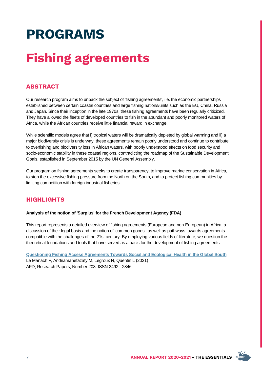# **Fishing agreements**

### **ABSTRACT**

Our research program aims to unpack the subject of 'fishing agreements', i.e. the economic partnerships established between certain coastal countries and large fishing nations/units such as the EU, China, Russia and Japan. Since their inception in the late 1970s, these fishing agreements have been regularly criticized. They have allowed the fleets of developed countries to fish in the abundant and poorly monitored waters of Africa, while the African countries receive little financial reward in exchange.

While scientific models agree that i) tropical waters will be dramatically depleted by global warming and ii) a major biodiversity crisis is underway, these agreements remain poorly understood and continue to contribute to overfishing and biodiversity loss in African waters, with poorly understood effects on food security and socio-economic stability in these coastal regions, contradicting the roadmap of the Sustainable Development Goals, established in September 2015 by the UN General Assembly.

Our program on fishing agreements seeks to create transparency, to improve marine conservation in Africa, to stop the excessive fishing pressure from the North on the South, and to protect fishing communities by limiting competition with foreign industrial fisheries.

### **HIGHLIGHTS**

#### **Analysis of the notion of 'Surplus' for the French Development Agency (FDA)**

This report represents a detailed overview of fishing agreements (European and non-European) in Africa, a discussion of their legal basis and the notion of 'common goods', as well as pathways towards agreements compatible with the challenges of the 21st century. By employing various fields of literature, we question the theoretical foundations and tools that have served as a basis for the development of fishing agreements.

**Questioning Fishing Access [Agreements](https://www.afd.fr/en/ressources/questioning-fishing-access-agreements-towards-social-and-ecological-health-global-south) Towards Social and Ecological Health in the Global South** Le Manach F, Andriamahefazafy M, Legroux N, Quentin L (2021) AFD, Research Papers, Number 203, ISSN 2492 - 2846

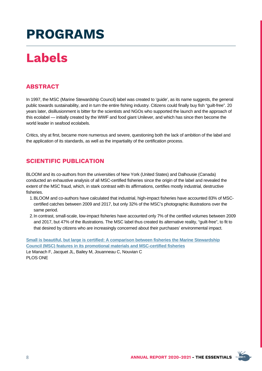# **Labels**

### **ABSTRACT**

In 1997, the MSC (Marine Stewardship Council) label was created to 'guide', as its name suggests, the general public towards sustainability, and in turn the entire fishing industry. Citizens could finally buy fish "guilt-free". 20 years later, disillusionment is bitter for the scientists and NGOs who supported the launch and the approach of this ecolabel — initially created by the WWF and food giant Unilever, and which has since then become the world leader in seafood ecolabels.

Critics, shy at first, became more numerous and severe, questioning both the lack of ambition of the label and the application of its standards, as well as the impartiality of the certification process.

### **SCIENTIFIC PUBLICATION**

BLOOM and its co-authors from the universities of New York (United States) and Dalhousie (Canada) conducted an exhaustive analysis of all MSC-certified fisheries since the origin of the label and revealed the extent of the MSC fraud, which, in stark contrast with its affirmations, certifies mostly industrial, destructive fisheries.

- BLOOM and co-authors have calculated that industrial, high-impact fisheries have accounted 83% of MSC-1. certified catches between 2009 and 2017, but only 32% of the MSC's photographic illustrations over the same period.
- 2. In contrast, small-scale, low-impact fisheries have accounted only 7% of the certified volumes between 2009 and 2017, but 47% of the illustrations. The MSC label thus created its alternative reality, "guilt-free", to fit to that desired by citizens who are increasingly concerned about their purchases' environmental impact.

**Small is beautiful, but large is certified: A comparison between fisheries the Marine Stewardship Council (MSC) features in its promotional materials and [MSC-certified](https://journals.plos.org/plosone/article?id=10.1371/journal.pone.0231073) fisheries** Le Manach F, Jacquet JL, Bailey M, Jouanneau C, Nouvian C PLOS ONE

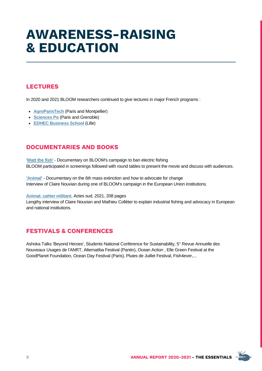# **AWARENESS-RAISING & EDUCATION**

## **LECTURES**

In 2020 and 2021 BLOOM researchers continued to give Iectures in major French programs :

- **[AgroParisTech](http://www2.agroparistech.fr/Welcome-to-AgroParisTech.html)** (Paris and Montpellier)
- **[Sciences](https://www.sciencespo.fr/en) Po** (Paris and Grenoble)
- **EDHEC [Business](https://www.edhec.edu/en) School** (Lille)

### **DOCUMENTARIES AND BOOKS**

'**[Watt](https://vimeo.com/356403259) the fish'** - Documentary on BLOOM's campaign to ban electric fishing BLOOM participated in screenings followed with round tables to present the movie and discuss with audiences.

**['Animal'](https://www.animal-lefilm.com/)** - Documentary on the 6th mass extinction and how to advocate for change Interview of Claire Nouvian during one of BLOOM's campaign in the European Union institutions.

#### **Animal, cahier [militant.](https://www.actes-sud.fr/catalogue/societe/animal-cahier-militant)** Actes sud, 2021, 208 pages

Lengthy interview of Claire Nouvian and Mathieu Colléter to explain industrial fishing and advocacy in European and national institutions.

### **FESTIVALS & CONFERENCES**

Ashoka Talks 'Beyond Heroes', Students National Conference for Sustainability, 5° Revue Annuelle des Nouveaux Usages de l'ANRT, Alternatiba Festival (Pantin), Ocean Action , Elle Green Festival at the GoodPlanet Foundation, Ocean Day Festival (Paris), Pluies de Juillet Festival, Fish4ever,...

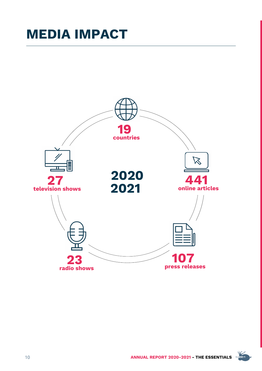# **MEDIA IMPACT**



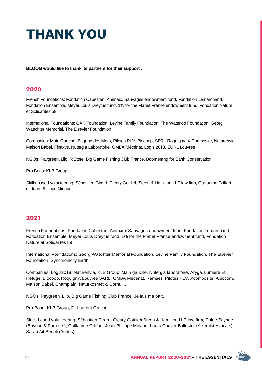# **THANK YOU**

**BLOOM would like to thank its partners for their support :**

### **2020**

French Foundations: Fondation Cabestan, Animaux Sauvages endowment fund, Fondation Lemarchand, Fondation Ensemble, Meyer Louis Dreyfus fund, 1% for the Planet France endowment fund, Fondation Nature et Solidarités 59

International Foundations: OAK Foundation, Levine Family Foundation, The Waterloo Foundation, Georg Waechter Memorial, The Elsevier Foundation

Companies: Main Gauche, Brigand des Mers, Pilotes PLV, Biocoop, SPRL Roquigny, X Composite, Naturenvie, Maison Babel, Finaxys, Nutergia Laboratoire, GMBA Mécénat, Logis 2018, EURL Louvres

NGOs: Paygreen, Lilo, R'Store, Big Game Fishing Club France, Boomerang for Earth Conservation

Pro Bono: KLB Group

Skills-based volunteering: Sébastien Girard, Cleary Gottlieb Steen & Hamilton LLP law firm, Guillaume Griffart et Jean-Philippe Minaud

### **2021**

French Foundations: Fondation Cabestan, Animaux Sauvages endowment fund, Fondation Lemarchand, Fondation Ensemble, Meyer Louis Dreyfus fund, 1% for the Planet France endowment fund, Fondation Nature et Solidarités 59

International Foundations: Georg Waechter Memorial Foundation, Levine Family Foundation, The Elsevier Foundation, Synchronicity Earth

Companies: Logis2018, Naturenvie, KLB Group, Main gauche, Nutergia laboratoire, Aryga, Lumiere Et Refuge, Biocoop, Roquigny, Louvres SARL, GMBA Mécenat, Ramses, Pilotes PLV, Xcomposite, Abiocom, Maison Babel, Champlain, Naturkosmetik, Cornu,...

NGOs: Paygreen, Lilo, Big Game Fishing Club France, Je fais ma part,

Pro Bono: KLB Group, Dr Laurent Gravot

Skills-based volunteering: Sébastien Girard, Cleary Gottlieb Steen & Hamilton LLP law firm, Chloé Saynac (Saynac & Partners), Guillaume Griffart, Jean-Philippe Minaud, Laura Chovet-Ballester (Alkemist Avocats), Sarah Ait Benali (Andes)